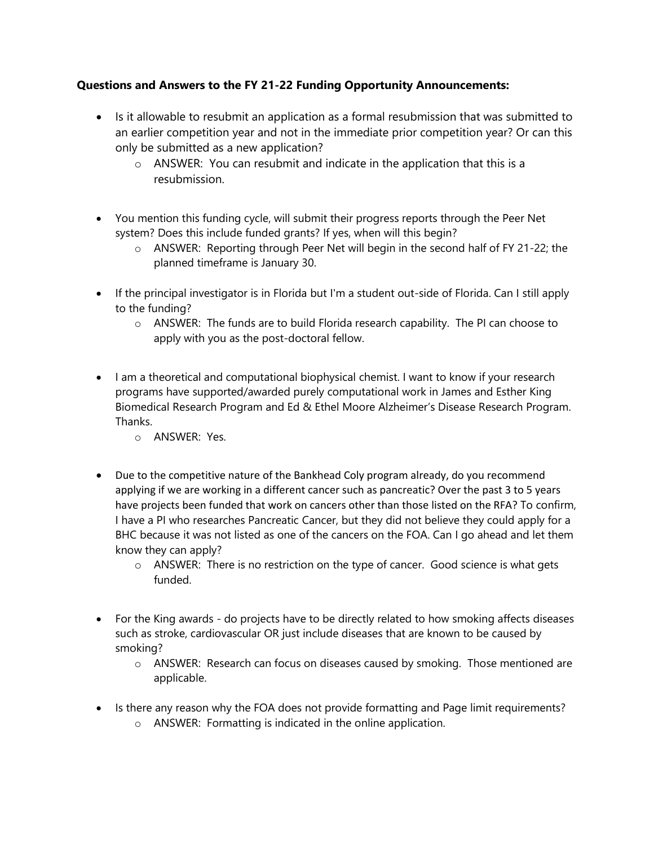## **Questions and Answers to the FY 21-22 Funding Opportunity Announcements:**

- Is it allowable to resubmit an application as a formal resubmission that was submitted to an earlier competition year and not in the immediate prior competition year? Or can this only be submitted as a new application?
	- o ANSWER: You can resubmit and indicate in the application that this is a resubmission.
- You mention this funding cycle, will submit their progress reports through the Peer Net system? Does this include funded grants? If yes, when will this begin?
	- o ANSWER: Reporting through Peer Net will begin in the second half of FY 21-22; the planned timeframe is January 30.
- If the principal investigator is in Florida but I'm a student out-side of Florida. Can I still apply to the funding?
	- $\circ$  ANSWER: The funds are to build Florida research capability. The PI can choose to apply with you as the post-doctoral fellow.
- I am a theoretical and computational biophysical chemist. I want to know if your research programs have supported/awarded purely computational work in James and Esther King Biomedical Research Program and Ed & Ethel Moore Alzheimer's Disease Research Program. Thanks.
	- o ANSWER: Yes.
- Due to the competitive nature of the Bankhead Coly program already, do you recommend applying if we are working in a different cancer such as pancreatic? Over the past 3 to 5 years have projects been funded that work on cancers other than those listed on the RFA? To confirm, I have a PI who researches Pancreatic Cancer, but they did not believe they could apply for a BHC because it was not listed as one of the cancers on the FOA. Can I go ahead and let them know they can apply?
	- $\circ$  ANSWER: There is no restriction on the type of cancer. Good science is what gets funded.
- For the King awards do projects have to be directly related to how smoking affects diseases such as stroke, cardiovascular OR just include diseases that are known to be caused by smoking?
	- o ANSWER: Research can focus on diseases caused by smoking. Those mentioned are applicable.
- Is there any reason why the FOA does not provide formatting and Page limit requirements?
	- o ANSWER: Formatting is indicated in the online application.